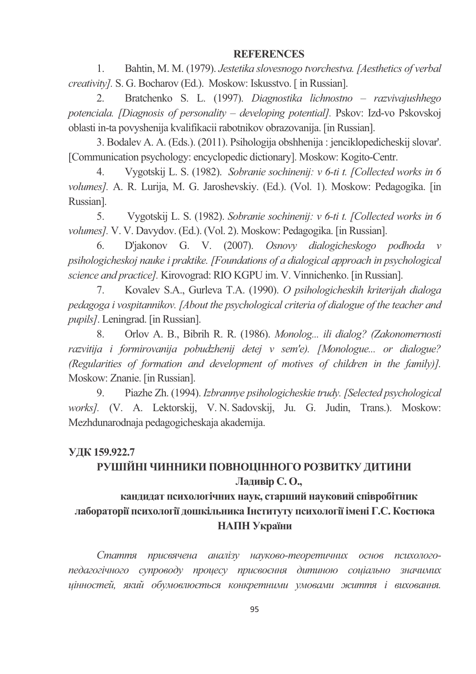## **REFERENCES**

1. Bahtin, M. M. (1979). *Jestetika slovesnogo tvorchestva.[Aesthetics of verbal creativity].* S. G. Bocharov (Ed.). Moskow: Iskusstvo. [ in Russian].

2. Bratchenko S. L. (1997). *Diagnostika lichnostno – razvivajushhego potenciala. [Diagnosis of personality – developing potential].* Pskov: Izd-vo Pskovskoj oblasti in-ta povyshenija kvalifikacii rabotnikov obrazovanija. [in Russian].

3. Bodalev A. A. (Eds.). (2011). Psihologija obshhenija : jenciklopedicheskij slovar'. [Communication psychology: encyclopedic dictionary]. Moskow: Kogito-Centr.

4. Vygotskij L. S. (1982). *Sobranie sochinenij: v 6-ti t. [Collected works in 6 volumes].* A. R. Lurija, M. G. Jaroshevskiy. (Ed.). (Vol. 1). Moskow: Pedagogika. [in Russian].

5. Vygotskij L. S. (1982). *Sobranie sochinenij: v 6-ti t. [Collected works in 6 volumes].* V. V. Davydov. (Ed.). (Vol. 2). Moskow: Pedagogika. [in Russian].

6. D'jakonov G. V. (2007). *Osnovy dialogicheskogo podhoda v psihologicheskoj nauke i praktike. [Foundations of a dialogical approach in psychological science and practice].* Kirovograd: RIO KGPU im. V. Vinnichenko. [in Russian].

7. Kovalev S.A., Gurleva T.A. (1990). *O psihologicheskih kriterijah dialoga pedagoga i vospitannikov. [About the psychological criteria of dialogue of the teacher and pupils]*. Leningrad. [in Russian].

8. Orlov A. B., Bibrih R. R. (1986). *Monolog... ili dialog? (Zakonomernosti razvitija i formirovanija pobudzhenij detej v sem'e). [Monologue... or dialogue? (Regularities of formation and development of motives of children in the family)].* Moskow: Znanie. [in Russian].

9. Piazhe Zh. (1994). *Izbrannye psihologicheskie trudy. [Selected psychological works].* (V. A. Lektorskij, V. N. Sadovskij, Ju. G. Judin, Trans.). Moskow: Mezhdunarodnaja pedagogicheskaja akademija.

#### **0 159.922.7**

# РУШІЙНІ ЧИННИКИ ПОВНОЦІННОГО РОЗВИТКУ ДИТИНИ **Ладивір С. О.,**

# кандидат психологічних наук, старший науковий співробітник лабораторії психології дошкільника Інституту психології імені Г.С. Костюка **НАПН України**

Стаття присвячена аналізу науково-теоретичних основ психологопедагогічного супроводу процесу присвоєння дитиною соціально значимих цінностей, який обумовлюється конкретними умовами життя і виховання.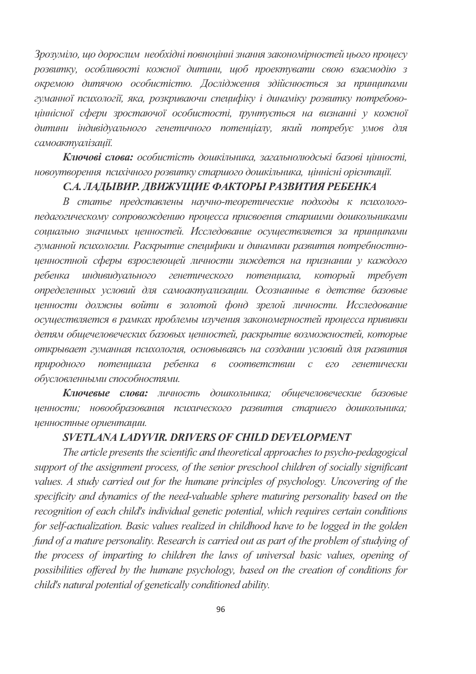Зрозуміло, що дорослим необхідні повноцінні знання закономірностей цього процесу розвитку, особливості кожної дитини, щоб проектувати свою взаємодію з окремою дитячою особистістю. Дослідження здійснюється за принципами гуманної психології, яка, розкриваючи специфіку і динаміку розвитку потребовоціннісної сфери зростаючої особистості, трунтується на визнанні у кожної дитини індивідуального генетичного потенціалу, який потребує умов для самоактуалізації.

Ключові слова: особистість дошкільника, загальнолюдські базові цінності, новоутворення психічного розвитку старшого дошкільника, ціннісні орієнтації.

#### С.А. ЛАДЫВИР. ДВИЖУЩИЕ ФАКТОРЫ РАЗВИТИЯ РЕБЕНКА

В статье представлены научно-теоретические подходы к психологопедагогическому сопровождению процесса присвоения старшими дошкольниками социально значимых ценностей. Исследование осуществляется за принципами гуманной психологии. Раскрытие специфики и динамики развития потребностноценностной сферы взрослеющей личности зиждется на признании у каждого ребенка индивидуального генетического потенциала, который *требует* определенных условий для самоактуализации. Осознанные в детстве базовые ценности должны войти в золотой фонд зрелой личности. Исследование осуществляется в рамках проблемы изучения закономерностей процесса прививки детям общечеловеческих базовых ценностей, раскрытие возможностей, которые открывает гуманная психология, основываясь на создании условий для развития природного потенциала ребенка в соответствии с его генетически *обусловленными способностями.* 

Ключевые слова: личность дошкольника; общечеловеческие базовые ценности; новообразования психического развития старшего дошкольника; иенностные ориенташи.

#### *SVETLANA LADYVIR. DRIVERS OF CHILD DEVELOPMENT*

*The article presents the scientific and theoretical approaches to psycho-pedagogical support of the assignment process, of the senior preschool children of socially significant values. A study carried out for the humane principles of psychology. Uncovering of the specificity and dynamics of the need-valuable sphere maturing personality based on the recognition of each child's individual genetic potential, which requires certain conditions for self-actualization. Basic values realized in childhood have to be logged in the golden fund of a mature personality. Research is carried out as part of the problem of studying of the process of imparting to children the laws of universal basic values, opening of possibilities offered by the humane psychology, based on the creation of conditions for child's natural potential of genetically conditioned ability.*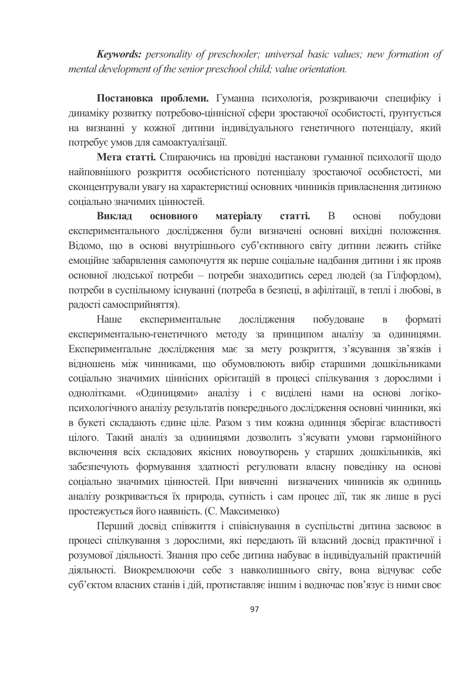**Keywords:** personality of preschooler; universal basic values; new formation of mental development of the senior preschool child; value orientation.

Постановка проблеми. Гуманна психологія, розкриваючи специфіку і динаміку розвитку потребово-ціннісної сфери зростаючої особистості, ґрунтується на визнанні у кожної дитини індивідуального генетичного потенціалу, який потребує умов для самоактуалізації.

Мета статті. Спираючись на провілні настанови гуманної психології шоло найповнішого розкриття особистієного потенціалу зростаючої особистості, ми сконцентрували увагу на характеристиці основних чинників привласнення дитиною соніально значимих пінностей.

Виклал **ОСНОВНОГО** матеріалу статті. <sub>B</sub> основі побудови експериментального дослідження були визначені основні вихідні положення. Відомо, що в основі внутрішнього суб'єктивного світу дитини лежить стійке емоційне забарвлення самопочуття як перше соціальне надбання дитини і як прояв основної людської потреби - потреби знаходитись серед людей (за Гілфордом), потреби в суспільному існуванні (потреба в безпеці, в афілітації, в теплі і любові, в радості самосприйняття).

побудоване Haute експериментальне дослідження  $\overline{R}$ форматі експериментально-генетичного методу за принципом аналізу за одиницями. Експериментальне дослідження має за мету розкриття, з'ясування зв'язків і відношень між чинниками, що обумовлюють вибір старшими дошкільниками соціально значимих ціннісних орієнтацій в процесі спілкування з дорослими і однолітками. «Одиницями» аналізу і є виділені нами на основі логікопсихологічного аналізу результатів попереднього дослідження основні чинники, які в букеті складають єдине ціле. Разом з тим кожна одиниця зберігає властивості цілого. Такий аналіз за одиницями дозволить з'ясувати умови гармонійного включення всіх складових якісних новоутворень у старших дошкільників, які забезпечують формування здатності регулювати власну поведінку на основі соціально значимих цінностей. При вивченні визначених чинників як одиниць аналізу розкривається їх природа, сутність і сам процес дії, так як лише в русі простежується його наявність. (С. Максименко)

Перший досвід співжиття і співіснування в суспільстві дитина засвоює в процесі спілкування з дорослими, які передають їй власний досвід практичної і розумової діяльності. Знання про себе дитина набуває в індивідуальній практичній діяльності. Виокремлюючи себе з навколишнього світу, вона відчуває себе суб'єктом власних станів і дій, протиставляє іншим і водночас пов'язує із ними своє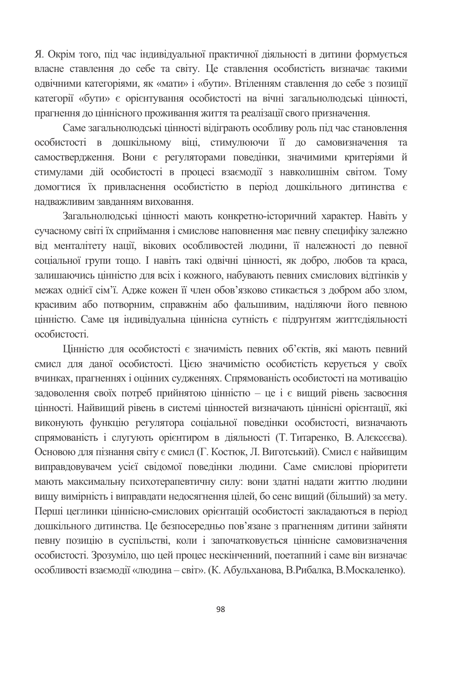Я. Окрім того, під час індивідуальної практичної діяльності в дитини формується власне ставлення до себе та світу. Це ставлення особистість визначає такими одвічними категоріями, як «мати» і «бути». Втіленням ставлення до себе з позиції категорії «бути» є орієнтування особистості на вічні загальнолюдські цінності, прагнення до ціннісного проживання життя та реалізації свого призначення.

Саме загальнолюдські цінності відіграють особливу роль під час становлення особистості в дошкільному віці, стимулюючи її до самовизначення та самостверлження. Вони є регуляторами повелінки, значимими критеріями й стимулами дій особистості в процесі взаємодії з навколишнім світом. Тому домогтися їх привласнення особистістю в період дошкільного дитинства є налважливим завланням виховання.

Загальнолюдські цінності мають конкретно-історичний характер. Навіть у сучасному світі їх сприймання і смислове наповнення має певну специфіку залежно від менталітету нації, вікових особливостей людини, її належності до певної соціальної групи тощо. І навіть такі одвічні цінності, як добро, любов та краса, залишаючись цінністю для всіх і кожного, набувають певних смислових відтінків у межах однієї сім'ї. Адже кожен її член обов'язково стикається з добром або злом, красивим або потворним, справжнім або фальшивим, наділяючи його певною цінністю. Саме ця індивідуальна ціннісна сутність є підгрунтям життєдіяльності особистості.

Цінністю для особистості є значимість певних об'єктів, які мають певний смисл для даної особистості. Цією значимістю особистість керується у своїх вчинках, прагненнях і оцінних судженнях. Спрямованість особистості на мотивацію задоволення своїх потреб прийнятою цінністю - це і є вищий рівень засвоєння цінності. Найвищий рівень в системі цінностей визначають ціннісні орієнтації, які виконують функцію регулятора соціальної поведінки особистості, визначають спрямованість і слугують орієнтиром в діяльності (Т. Титаренко, В. Алексеєва). Основою для пізнання світу є смисл (Г. Костюк, Л. Виготський). Смисл є найвищим виправдовувачем усієї свідомої поведінки людини. Саме смислові пріоритети мають максимальну психотерапевтичну силу: вони здатні надати життю людини вищу вимірність і виправдати недосягнення цілей, бо сенс вищий (більший) за мету. Перші цеглинки ціннісно-смислових орієнтацій особистості закладаються в період дошкільного дитинства. Це безпосередньо пов'язане з прагненням дитини зайняти певну позицію в суспільстві, коли і започатковується ціннісне самовизначення особистості. Зрозуміло, що цей процес нескінченний, поетапний і саме він визначає особливості взаємодії «людина - світ». (К. Абульханова, В. Рибалка, В. Москаленко).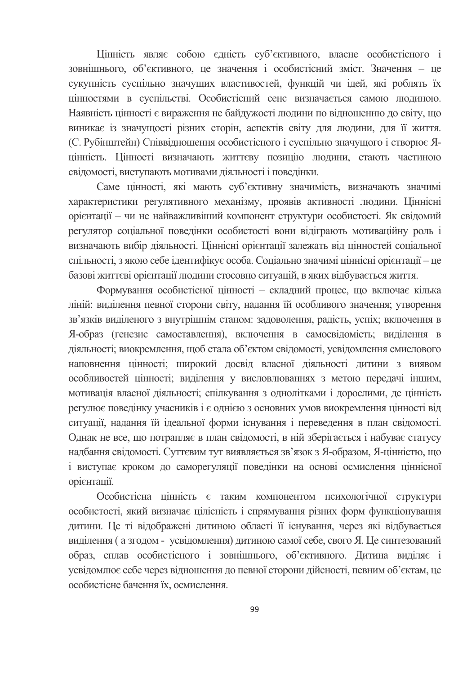Цінність являє собою єдність суб'єктивного, власне особистісного і зовнішнього, об'єктивного, це значення і особистісний зміст. Значення - це сукупність суспільно значущих властивостей, функцій чи ідей, які роблять їх цінностями в суспільстві. Особистісний сенс визначається самою людиною. Наявність цінності є вираження не байдужості людини по відношенню до світу, що виникає із значущості різних сторін, аспектів світу для людини, для її життя. (С. Рубінштейн) Співвідношення особистісного і суспільно значущого і створює Япінність. Пінності визначають життєву позицію людини, стають частиною свідомості, виступають мотивами діяльності і поведінки.

Саме цінності, які мають суб'єктивну значимість, визначають значимі характеристики регулятивного механізму, проявів активності людини. Ціннісні орієнтації - чи не найважливіший компонент структури особистості. Як свідомий регулятор соціальної поведінки особистості вони відіграють мотиваційну роль і визначають вибір діяльності. Ціннісні орієнтації залежать від цінностей соціальної спільності, з якою себе ідентифікує особа. Соціально значимі ціннісні орієнтації – це базові життєві орієнтації людини стосовно ситуацій, в яких відбувається життя.

Формування особистісної цінності - складний процес, що включає кілька ліній: виділення певної сторони світу, надання їй особливого значення; утворення зв'язків виділеного з внутрішнім станом: задоволення, радість, успіх; включення в Я-образ (генезис самоставлення), включення в самосвідомість; виділення в діяльності; виокремлення, щоб стала об'єктом свідомості, усвідомлення смислового наповнення цінності; широкий досвід власної діяльності дитини з виявом особливостей цінності; виділення у висловлюваннях з метою передачі іншим, мотивація власної діяльності; спілкування з однолітками і дорослими, де цінність регулює поведінку учасників і є однією з основних умов виокремлення цінності від ситуації, надання їй ідеальної форми існування і переведення в план свідомості. Однак не все, що потрапляє в план свідомості, в ній зберігається і набуває статусу надбання свідомості. Суттєвим тут виявляється зв'язок з Я-образом, Я-цінністю, що і виступає кроком до саморегуляції поведінки на основі осмислення ціннісної орієнтації.

Особистісна цінність є таким компонентом психологічної структури особистості, який визначає цілісність і спрямування різних форм функціонування дитини. Це ті відображені дитиною області її існування, через які відбувається виділення (а згодом - усвідомлення) дитиною самої себе, свого Я. Це синтезований образ, сплав особистісного і зовнішнього, об'єктивного. Дитина виділяє і усвідомлює себе через відношення до певної сторони дійсності, певним об'єктам, це особистісне бачення їх, осмислення.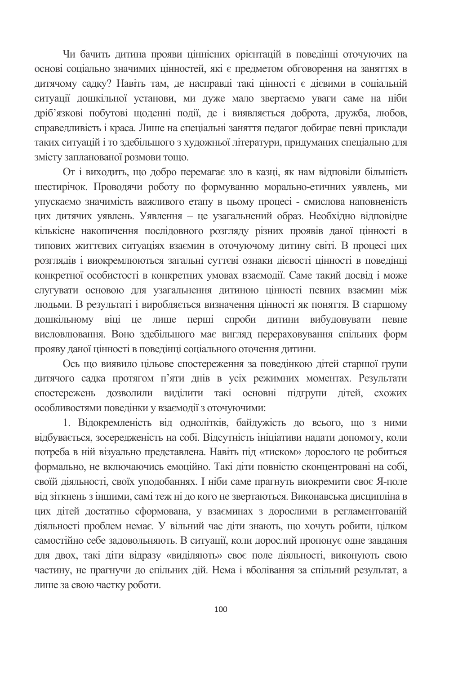Чи бачить дитина прояви ціннісних орієнтацій в поведінці оточуючих на основі соціально значимих цінностей, які є предметом обговорення на заняттях в дитячому садку? Навіть там, де насправді такі цінності є дієвими в соціальній ситуації дошкільної установи, ми дуже мало звертаємо уваги саме на ніби дріб'язкові побутові щоденні події, де і виявляється доброта, дружба, любов, справедливість і краса. Лише на спеціальні заняття педагог добирає певні приклади таких ситуацій і то здебільшого з художньої літератури, придуманих спеціально для змісту запланованої розмови тошо.

От і виходить, що добро перемагає зло в казці, як нам відповіли більшість шестирічок. Проводячи роботу по формуванню морально-етичних уявлень, ми упускаємо значимість важливого етапу в цьому процесі - смислова наповненість цих дитячих уявлень. Уявлення - це узагальнений образ. Необхідно відповідне кількісне накопичення послідовного розгляду різних проявів даної цінності в типових життєвих ситуаціях взаємин в оточуючому дитину світі. В процесі цих розглядів і виокремлюються загальні суттєві ознаки дієвості цінності в поведінці конкретної особистості в конкретних умовах взаємодії. Саме такий досвід і може слугувати основою для узагальнення дитиною цінності певних взаємин між людьми. В результаті і виробляється визначення цінності як поняття. В старшому дошкільному віці це лише перші спроби дитини вибудовувати певне висловлювання. Воно здебільшого має вигляд перераховування спільних форм прояву даної цінності в поведінці соціального оточення дитини.

Ось що виявило цільове спостереження за поведінкою дітей старшої групи дитячого садка протягом п'яти днів в усіх режимних моментах. Результати спостережень дозволили виділити такі основні підгрупи дітей, схожих особливостями поведінки у взаємодії з оточуючими:

1. Відокремленість від однолітків, байдужість до всього, що з ними відбувається, зосередженість на собі. Відсутність ініціативи надати допомогу, коли потреба в ній візуально представлена. Навіть під «тиском» дорослого це робиться формально, не включаючись емоційно. Такі діти повністю сконцентровані на собі, своїй діяльності, своїх уподобаннях. І ніби саме прагнуть виокремити своє Я-поле від зіткнень з іншими, самі теж ні до кого не звертаються. Виконавська дисципліна в цих дітей достатньо сформована, у взаєминах з дорослими в регламентованій діяльності проблем немає. У вільний час діти знають, що хочуть робити, цілком самостійно себе задовольняють. В ситуації, коли дорослий пропонує одне завдання для двох, такі діти відразу «виділяють» своє поле діяльності, виконують свою частину, не прагнучи до спільних дій. Нема і вболівання за спільний результат, а лише за свою частку роботи.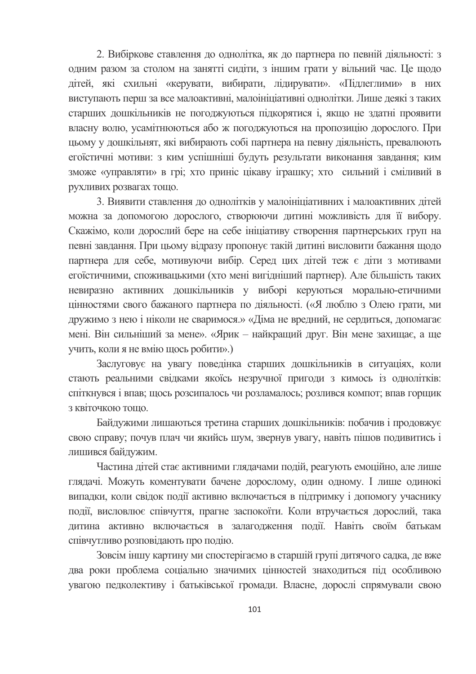2. Вибіркове ставлення до однолітка, як до партнера по певній діяльності: з одним разом за столом на занятті сидіти, з іншим грати у вільний час. Це шодо дітей, які схильні «керувати, вибирати, лідирувати». «Підлеглими» в них виступають перш за все малоактивні, малоініціативні однолітки. Лише деякі з таких старших дошкільників не погоджуються підкорятися і, якщо не здатні проявити власну волю, усамітнюються або ж погоджуються на пропозицію дорослого. При цьому у дошкільнят, які вибирають собі партнера на певну діяльність, превалюють егоїстичні мотиви: з ким успішніші будуть результати виконання завдання; ким зможе «управляти» в грі; хто приніс цікаву іграшку; хто сильний і сміливий в рухливих розвагах тощо.

3. Виявити ставлення до однолітків у малоініціативних і малоактивних дітей можна за допомогою дорослого, створюючи дитині можливість для її вибору. Скажімо, коли дорослий бере на себе ініціативу створення партнерських груп на певні завдання. При цьому відразу пропонує такій дитині висловити бажання щодо партнера для себе, мотивуючи вибір. Серед цих дітей теж є діти з мотивами егоїстичними, споживацькими (хто мені вигідніший партнер). Але більшість таких невиразно активних дошкільників у виборі керуються морально-етичними цінностями свого бажаного партнера по діяльності. («Я люблю з Олею грати, ми дружимо з нею і ніколи не сваримося.» «Діма не вредний, не сердиться, допомагає мені. Він сильніший за мене». «Ярик – найкращий друг. Він мене захищає, а ще учить, коли я не вмію щось робити».)

Заслуговує на увагу поведінка старших дошкільників в ситуаціях, коли стають реальними свідками якоїсь незручної пригоди з кимось із однолітків: спіткнувся і впав; щось розсипалось чи розламалось; розлився компот; впав горщик з квіточкою тошо.

Байдужими лишаються третина старших дошкільників: побачив і продовжує свою справу; почув плач чи якийсь шум, звернув увагу, навіть пішов подивитись і лишився байдужим.

Частина дітей стає активними глядачами подій, реагують емоційно, але лише глядачі. Можуть коментувати бачене дорослому, один одному. І лише одинокі випадки, коли свідок події активно включається в підтримку і допомогу учаснику події, висловлює співчуття, прагне заспокоїти. Коли втручається дорослий, така дитина активно включається в залагодження події. Навіть своїм батькам співчутливо розповідають про подію.

Зовсім іншу картину ми спостерігаємо в старшій групі дитячого садка, де вже два роки проблема соціально значимих цінностей знаходиться під особливою увагою педколективу і батьківської громади. Власне, дорослі спрямували свою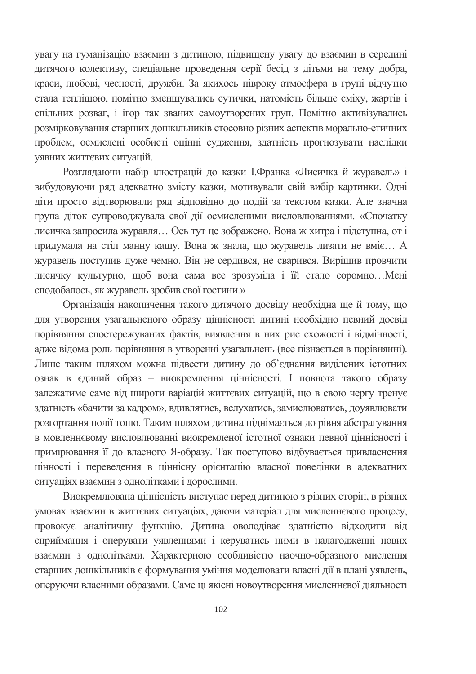увагу на гуманізацію взаємин з дитиною, підвищену увагу до взаємин в середині дитячого колективу, спеціальне проведення серії бесід з дітьми на тему добра, краси, любові, чесності, дружби. За якихось півроку атмосфера в групі відчутно стала теплішою, помітно зменшувались сутички, натомість більше сміху, жартів і спільних розваг, і ігор так званих самоутворених груп. Помітно активізувались розмірковування старших дошкільників стосовно різних аспектів морально-етичних проблем, осмислені особисті оцінні судження, здатність прогнозувати наслідки уявних життєвих ситуацій.

Розглядаючи набір ілюстрацій до казки І.Франка «Лисичка й журавель» і вибудовуючи ряд адекватно змісту казки, мотивували свій вибір картинки. Одні діти просто відтворювали ряд відповідно до подій за текстом казки. Але значна група діток супроводжувала свої дії осмисленими висловлюваннями. «Спочатку лисичка запросила журавля... Ось тут це зображено. Вона ж хитра і підступна, от і придумала на стіл манну кашу. Вона ж знала, що журавель лизати не вміє... А журавель поступив дуже чемно. Він не сердився, не сварився. Вирішив провчити лисичку культурно, щоб вона сама все зрозуміла і їй стало соромно...Мені сподобалось, як журавель зробив свої гостини.»

Організація накопичення такого дитячого досвіду необхідна ще й тому, що для утворення узагальненого образу ціннісності дитині необхідно певний досвід порівняння спостережуваних фактів, виявлення в них рис схожості і відмінності, адже відома роль порівняння в утворенні узагальнень (все пізнається в порівнянні). Лише таким шляхом можна підвести дитину до об'єднання виділених істотних ознак в єдиний образ - виокремлення ціннісності. І повнота такого образу залежатиме саме від широти варіацій життєвих ситуацій, що в свою чергу тренує здатність «бачити за кадром», вдивлятись, вслухатись, замислюватись, доуявлювати розгортання події тощо. Таким шляхом дитина піднімається до рівня абстрагування в мовленнєвому висловлюванні виокремленої істотної ознаки певної ціннісності і примірювання її до власного Я-образу. Так поступово відбувається привласнення цінності і переведення в ціннісну орієнтацію власної поведінки в адекватних ситуаціях взаємин з однолітками і дорослими.

Виокремлювана ціннісність виступає перед дитиною з різних сторін, в різних умовах взаємин в життєвих ситуаціях, даючи матеріал для мисленнєвого процесу, провокує аналітичну функцію. Дитина оволодіває здатністю відходити від сприймання і оперувати уявленнями і керуватись ними в налагодженні нових взаємин з однолітками. Характерною особливістю наочно-образного мислення старших дошкільників є формування уміння моделювати власні дії в плані уявлень, оперуючи власними образами. Саме ці якісні новоутворення мисленнєвої діяльності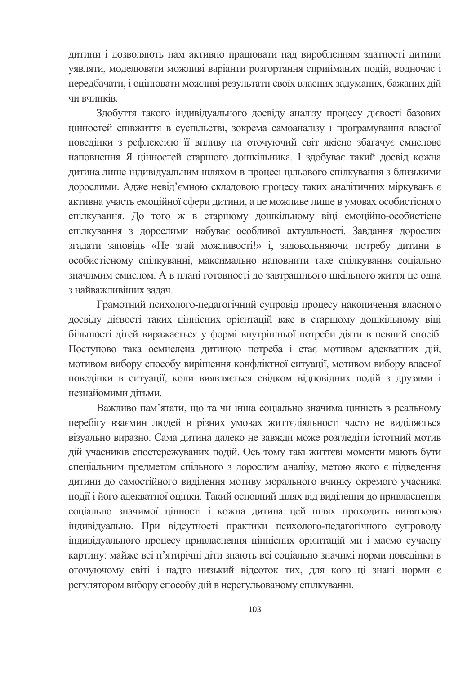дитини і дозволяють нам активно працювати над виробленням здатності дитини уявляти, моделювати можливі варіанти розгортання сприйманих подій, водночас і передбачати, і оцінювати можливі результати своїх власних задуманих, бажаних дій чи вчинків

Здобуття такого індивідуального досвіду аналізу процесу дієвості базових цінностей співжиття в суспільстві, зокрема самоаналізу і програмування власної поведінки з рефлексією її впливу на оточуючий світ якісно збагачує смислове наповнення Я пінностей старшого лошкільника. І злобуває такий лосвіл кожна дитина лише індивідуальним шляхом в процесі цільового спілкування з близькими дорослими. Адже невід'ємною складовою процесу таких аналітичних міркувань є активна участь емоційної сфери дитини, а це можливе лише в умовах особистісного спілкування. До того ж в старшому дошкільному віці емоційно-особистісне спілкування з дорослими набуває особливої актуальності. Завдання дорослих згадати заповідь «Не згай можливості!» і, задовольняючи потребу дитини в особистісному спілкуванні, максимально наповнити таке спілкування соціально значимим смислом. А в плані готовності до завтрашнього шкільного життя це одна з найважливіших залач.

Грамотний психолого-педагогічний супровід процесу накопичення власного досвіду дієвості таких ціннісних орієнтацій вже в старшому дошкільному віці більшості дітей виражається у формі внутрішньої потреби діяти в певний спосіб. Поступово така осмислена дитиною потреба і стає мотивом адекватних дій, мотивом вибору способу вирішення конфліктної ситуації, мотивом вибору власної поведінки в ситуації, коли виявляється свідком відповідних подій з друзями і незнайомими літьми.

Важливо пам'ятати, що та чи інша соціально значима цінність в реальному перебігу взаємин людей в різних умовах життєдіяльності часто не виділяється візуально виразно. Сама дитина далеко не завжди може розгледіти істотний мотив дій учасників спостережуваних подій. Ось тому такі життєві моменти мають бути спеціальним предметом спільного з дорослим аналізу, метою якого є підведення дитини до самостійного виділення мотиву морального вчинку окремого учасника події і його адекватної оцінки. Такий основний шлях від виділення до привласнення соціально значимої цінності і кожна дитина цей шлях проходить винятково індивідуально. При відсутності практики психолого-педагогічного супроводу індивідуального процесу привласнення ціннісних орієнтацій ми і маємо сучасну картину: майже всі п'ятирічні діти знають всі соціально значимі норми поведінки в оточуючому світі і надто низький відсоток тих, для кого ці знані норми є регулятором вибору способу дій в нерегульованому спілкуванні.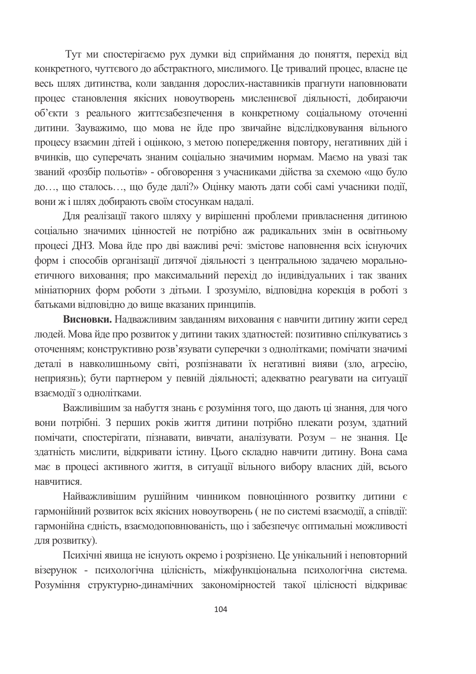Тут ми спостерігаємо рух думки від сприймання до поняття, перехід від конкретного, чуттєвого до абстрактного, мислимого. Це тривалий процес, власне це весь шлях дитинства, коли завдання дорослих-наставників прагнути наповнювати процес становлення якісних новоутворень мисленнєвої діяльності, добираючи об'єкти з реального життєзабезпечення в конкретному соціальному оточенні дитини. Зауважимо, що мова не йде про звичайне відслідковування вільного процесу взаємин дітей і оцінкою, з метою попередження повтору, негативних дій і вчинків, що суперечать знаним соціально значимим нормам. Маємо на увазі так званий «розбір польотів» - обговорення з учасниками дійства за схемою «що було до..., що сталось..., що буде далі?» Оцінку мають дати собі самі учасники події, вони ж і шлях добирають своїм стосункам надалі.

Для реалізації такого шляху у вирішенні проблеми привласнення дитиною соціально значимих цінностей не потрібно аж радикальних змін в освітньому процесі ДНЗ. Мова йде про дві важливі речі: змістове наповнення всіх існуючих форм і способів організації дитячої діяльності з центральною задачею моральноетичного виховання; про максимальний перехід до індивідуальних і так званих мініатюрних форм роботи з дітьми. І зрозуміло, відповідна корекція в роботі з батьками відповідно до вище вказаних принципів.

Висновки. Надважливим завданням виховання є навчити дитину жити серед людей. Мова йде про розвиток у дитини таких здатностей: позитивно спілкуватись з оточенням; конструктивно розв'язувати суперечки з однолітками; помічати значимі деталі в навколишньому світі, розпізнавати їх негативні вияви (зло, агресію, неприязнь); бути партнером у певній діяльності; адекватно реагувати на ситуації взаємолії з олнолітками.

Важливішим за набуття знань є розуміння того, що дають ці знання, для чого вони потрібні. З перших років життя дитини потрібно плекати розум, здатний помічати, спостерігати, пізнавати, вивчати, аналізувати. Розум - не знання. Це здатність мислити, відкривати істину. Цього складно навчити дитину. Вона сама має в процесі активного життя, в ситуації вільного вибору власних дій, всього навчитися

Найважливішим рушійним чинником повноцінного розвитку дитини є гармонійний розвиток всіх якісних новоутворень (не по системі взаємодії, а співдії: гармонійна єдність, взаємодоповнюваність, що і забезпечує оптимальні можливості для розвитку).

Психічні явища не існують окремо і розрізнено. Це унікальний і неповторний візерунок - психологічна цілісність, міжфункціональна психологічна система. Розуміння структурно-динамічних закономірностей такої цілісності відкриває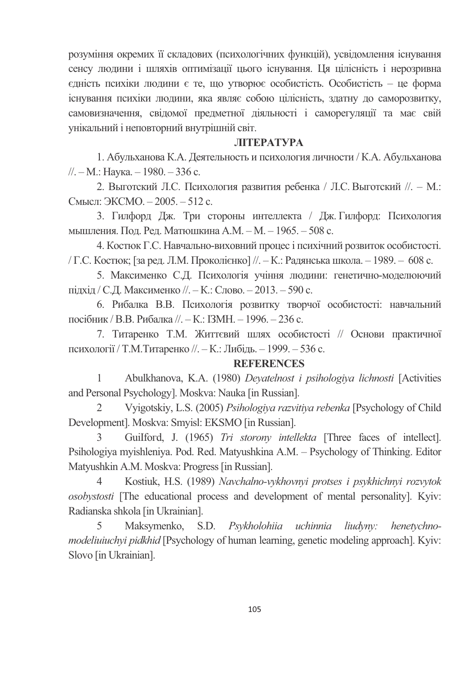розуміння окремих її складових (психологічних функцій), усвідомлення існування сенсу людини і шляхів оптимізації цього існування. Ця цілісність і нерозривна едність психіки людини є те, що утворює особистість. Особистість - це форма існування психіки людини, яка являє собою цілісність, здатну до саморозвитку, самовизначення, свідомої предметної діяльності і саморегуляції та має свій унікальний і неповторний внутрішній світ.

## **JIITEPATYPA**

1. Абульханова К.А. Деятельность и психология личности / К.А. Абульханова //. – М.: Наука. – 1980. – 336 с.

2. Выготский Л.С. Психология развития ребенка / Л.С. Выготский //. - М.: Смысл: ЭКСМО. - 2005. - 512 с.

3. Гилфорд Дж. Три стороны интеллекта / Дж. Гилфорд: Психология мышления. Под. Ред. Матюшкина А.М. – М. – 1965. – 508 с.

4. Костюк Г.С. Навчально-виховний процес і психічний розвиток особистості. / Г.С. Костюк; [за ред. Л.М. Проколієнко] //. – К.: Радянська школа. – 1989. – 608 с.

5. Максименко С.Д. Психологія учіння людини: генетично-моделюючий підхід / С.Д. Максименко //. – К.: Слово. – 2013. – 590 с.

6. Рибалка В.В. Психологія розвитку творчої особистості: навчальний посібник / В.В. Рибалка //. — К.: ІЗМН. — 1996. — 236 с.

7. Титаренко Т.М. Життєвий шлях особистості // Основи практичної психології / Т.М.Титаренко //. – К.: Либідь. – 1999. – 536 с.

## **REFERENCES**

1 Abulkhanova, K.A. (1980) *Deyatelnost i psihologiya lichnosti* [Activities and Personal Psychology]. Moskva: Nauka [in Russian].

2 Vyigotskiy, L.S. (2005) *Psihologiya razvitiya rebenka* [Psychology of Child Development]. Moskva: Smyisl: EKSMO [in Russian].

3 GuiIfd, J. (1965) *Tri storony intellekta* [Three faces of intellect]. Psihologiya myishleniya. Pod. Red. Matyushkina A.M. – Psychology of Thinking. Editor Matyushkin A.M. Moskva: Progress [in Russian].

4 Kostiuk, H.S. (1989) *Navchalno-vykhovnyi protses i psykhichnyi rozvytok osobystosti* [The educational process and development of mental personality]. Kyiv: Radianska shkola [in Ukrainian].

5 Maksymenko, S.D. *Psykholohiia uchinnia liudyny: henetychnomodeliuiuchyi pidkhid* [Psychology of human learning, genetic modeling approach]. Kyiv: Slovo [in Ukrainian].